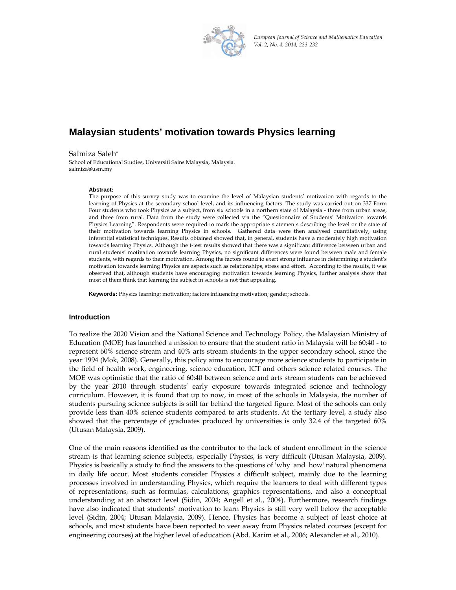

*European Journal of Science and Mathematics Education Vol. 2, No. 4, 2014, 223‐232*

# **Malaysian students' motivation towards Physics learning**

Salmiza Saleh\* School of Educational Studies, Universiti Sains Malaysia, Malaysia. salmiza@usm.my

#### **Abstract:**

The purpose of this survey study was to examine the level of Malaysian students' motivation with regards to the learning of Physics at the secondary school level, and its influencing factors. The study was carried out on 337 Form Four students who took Physics as a subject, from six schools in a northern state of Malaysia - three from urban areas, and three from rural. Data from the study were collected via the "Questionnaire of Students' Motivation towards Physics Learning". Respondents were required to mark the appropriate statements describing the level or the state of their motivation towards learning Physics in schools. Gathered data were then analysed quantitatively, using inferential statistical techniques. Results obtained showed that, in general, students have a moderately high motivation towards learning Physics. Although the t-test results showed that there was a significant difference between urban and rural students' motivation towards learning Physics, no significant differences were found between male and female students, with regards to their motivation. Among the factors found to exert strong influence in determining a student's motivation towards learning Physics are aspects such as relationships, stress and effort. According to the results, it was observed that, although students have encouraging motivation towards learning Physics, further analysis show that most of them think that learning the subject in schools is not that appealing.

**Keywords:** Physics learning; motivation; factors influencing motivation; gender; schools.

### **Introduction**

To realize the 2020 Vision and the National Science and Technology Policy, the Malaysian Ministry of Education (MOE) has launched a mission to ensure that the student ratio in Malaysia will be 60:40 - to represent 60% science stream and 40% arts stream students in the upper secondary school, since the year 1994 (Mok, 2008). Generally, this policy aims to encourage more science students to participate in the field of health work, engineering, science education, ICT and others science related courses. The MOE was optimistic that the ratio of 60:40 between science and arts stream students can be achieved by the year 2010 through students' early exposure towards integrated science and technology curriculum. However, it is found that up to now, in most of the schools in Malaysia, the number of students pursuing science subjects is still far behind the targeted figure. Most of the schools can only provide less than 40% science students compared to arts students. At the tertiary level, a study also showed that the percentage of graduates produced by universities is only 32.4 of the targeted 60% (Utusan Malaysia, 2009).

One of the main reasons identified as the contributor to the lack of student enrollment in the science stream is that learning science subjects, especially Physics, is very difficult (Utusan Malaysia, 2009). Physics is basically a study to find the answers to the questions of 'why' and 'how' natural phenomena in daily life occur. Most students consider Physics a difficult subject, mainly due to the learning processes involved in understanding Physics, which require the learners to deal with different types of representations, such as formulas, calculations, graphics representations, and also a conceptual understanding at an abstract level (Sidin, 2004; Angell et al., 2004). Furthermore, research findings have also indicated that students' motivation to learn Physics is still very well below the acceptable level (Sidin, 2004; Utusan Malaysia, 2009). Hence, Physics has become a subject of least choice at schools, and most students have been reported to veer away from Physics related courses (except for engineering courses) at the higher level of education (Abd. Karim et al., 2006; Alexander et al., 2010).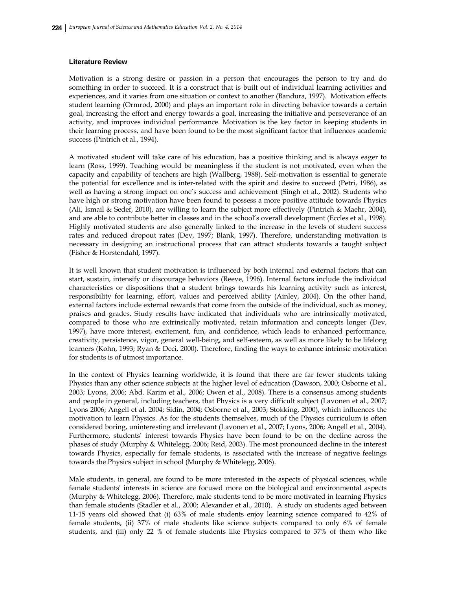### **Literature Review**

Motivation is a strong desire or passion in a person that encourages the person to try and do something in order to succeed. It is a construct that is built out of individual learning activities and experiences, and it varies from one situation or context to another (Bandura, 1997). Motivation effects student learning (Ormrod, 2000) and plays an important role in directing behavior towards a certain goal, increasing the effort and energy towards a goal, increasing the initiative and perseverance of an activity, and improves individual performance. Motivation is the key factor in keeping students in their learning process, and have been found to be the most significant factor that influences academic success (Pintrich et al., 1994).

A motivated student will take care of his education, has a positive thinking and is always eager to learn (Ross, 1999). Teaching would be meaningless if the student is not motivated, even when the capacity and capability of teachers are high (Wallberg, 1988). Self-motivation is essential to generate the potential for excellence and is inter-related with the spirit and desire to succeed (Petri, 1986), as well as having a strong impact on one's success and achievement (Singh et al., 2002). Students who have high or strong motivation have been found to possess a more positive attitude towards Physics (Ali, Ismail & Sedef, 2010), are willing to learn the subject more effectively (Pintrich & Maehr, 2004), and are able to contribute better in classes and in the school's overall development (Eccles et al., 1998). Highly motivated students are also generally linked to the increase in the levels of student success rates and reduced dropout rates (Dev, 1997; Blank, 1997). Therefore, understanding motivation is necessary in designing an instructional process that can attract students towards a taught subject (Fisher & Horstendahl, 1997).

It is well known that student motivation is influenced by both internal and external factors that can start, sustain, intensify or discourage behaviors (Reeve, 1996). Internal factors include the individual characteristics or dispositions that a student brings towards his learning activity such as interest, responsibility for learning, effort, values and perceived ability (Ainley, 2004). On the other hand, external factors include external rewards that come from the outside of the individual, such as money, praises and grades. Study results have indicated that individuals who are intrinsically motivated, compared to those who are extrinsically motivated, retain information and concepts longer (Dev, 1997), have more interest, excitement, fun, and confidence, which leads to enhanced performance, creativity, persistence, vigor, general well-being, and self-esteem, as well as more likely to be lifelong learners (Kohn, 1993; Ryan & Deci, 2000). Therefore, finding the ways to enhance intrinsic motivation for students is of utmost importance.

In the context of Physics learning worldwide, it is found that there are far fewer students taking Physics than any other science subjects at the higher level of education (Dawson, 2000; Osborne et al., 2003; Lyons, 2006; Abd. Karim et al., 2006; Owen et al., 2008). There is a consensus among students and people in general, including teachers, that Physics is a very difficult subject (Lavonen et al., 2007; Lyons 2006; Angell et al. 2004; Sidin, 2004; Osborne et al., 2003; Stokking, 2000), which influences the motivation to learn Physics. As for the students themselves, much of the Physics curriculum is often considered boring, uninteresting and irrelevant (Lavonen et al., 2007; Lyons, 2006; Angell et al., 2004). Furthermore, students' interest towards Physics have been found to be on the decline across the phases of study (Murphy & Whitelegg, 2006; Reid, 2003). The most pronounced decline in the interest towards Physics, especially for female students, is associated with the increase of negative feelings towards the Physics subject in school (Murphy & Whitelegg, 2006).

Male students, in general, are found to be more interested in the aspects of physical sciences, while female students' interests in science are focused more on the biological and environmental aspects (Murphy & Whitelegg, 2006). Therefore, male students tend to be more motivated in learning Physics than female students (Stadler et al., 2000; Alexander et al., 2010). A study on students aged between 11-15 years old showed that (i) 63% of male students enjoy learning science compared to 42% of female students, (ii) 37% of male students like science subjects compared to only 6% of female students, and (iii) only 22 % of female students like Physics compared to 37% of them who like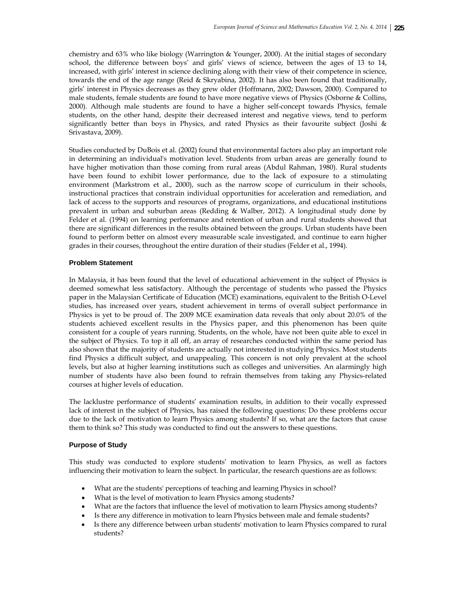chemistry and 63% who like biology (Warrington & Younger, 2000). At the initial stages of secondary school, the difference between boys' and girls' views of science, between the ages of 13 to 14, increased, with girls' interest in science declining along with their view of their competence in science, towards the end of the age range (Reid & Skryabina, 2002). It has also been found that traditionally, girls' interest in Physics decreases as they grew older (Hoffmann, 2002; Dawson, 2000). Compared to male students, female students are found to have more negative views of Physics (Osborne & Collins, 2000). Although male students are found to have a higher self-concept towards Physics, female students, on the other hand, despite their decreased interest and negative views, tend to perform significantly better than boys in Physics, and rated Physics as their favourite subject (Joshi & Srivastava, 2009).

Studies conducted by DuBois et al. (2002) found that environmental factors also play an important role in determining an individual's motivation level. Students from urban areas are generally found to have higher motivation than those coming from rural areas (Abdul Rahman, 1980). Rural students have been found to exhibit lower performance, due to the lack of exposure to a stimulating environment (Markstrom et al., 2000), such as the narrow scope of curriculum in their schools, instructional practices that constrain individual opportunities for acceleration and remediation, and lack of access to the supports and resources of programs, organizations, and educational institutions prevalent in urban and suburban areas (Redding & Walber, 2012). A longitudinal study done by Felder et al. (1994) on learning performance and retention of urban and rural students showed that there are significant differences in the results obtained between the groups. Urban students have been found to perform better on almost every measurable scale investigated, and continue to earn higher grades in their courses, throughout the entire duration of their studies (Felder et al., 1994).

# **Problem Statement**

In Malaysia, it has been found that the level of educational achievement in the subject of Physics is deemed somewhat less satisfactory. Although the percentage of students who passed the Physics paper in the Malaysian Certificate of Education (MCE) examinations, equivalent to the British O-Level studies, has increased over years, student achievement in terms of overall subject performance in Physics is yet to be proud of. The 2009 MCE examination data reveals that only about 20.0% of the students achieved excellent results in the Physics paper, and this phenomenon has been quite consistent for a couple of years running. Students, on the whole, have not been quite able to excel in the subject of Physics. To top it all off, an array of researches conducted within the same period has also shown that the majority of students are actually not interested in studying Physics. Most students find Physics a difficult subject, and unappealing. This concern is not only prevalent at the school levels, but also at higher learning institutions such as colleges and universities. An alarmingly high number of students have also been found to refrain themselves from taking any Physics-related courses at higher levels of education.

The lacklustre performance of students' examination results, in addition to their vocally expressed lack of interest in the subject of Physics, has raised the following questions: Do these problems occur due to the lack of motivation to learn Physics among students? If so, what are the factors that cause them to think so? This study was conducted to find out the answers to these questions.

### **Purpose of Study**

This study was conducted to explore students' motivation to learn Physics, as well as factors influencing their motivation to learn the subject. In particular, the research questions are as follows:

- What are the students' perceptions of teaching and learning Physics in school?
- What is the level of motivation to learn Physics among students?
- What are the factors that influence the level of motivation to learn Physics among students?
- Is there any difference in motivation to learn Physics between male and female students?
- Is there any difference between urban students' motivation to learn Physics compared to rural students?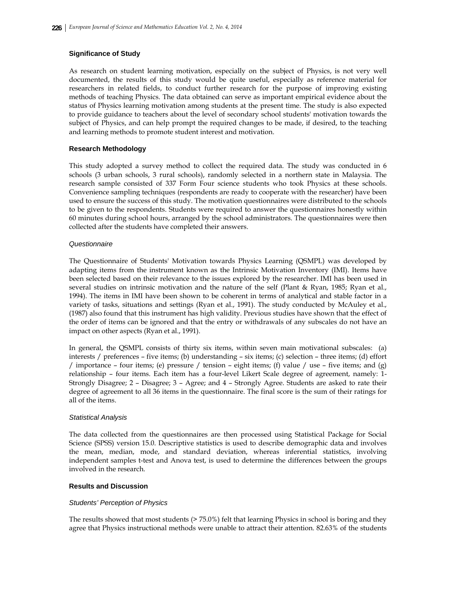# **Significance of Study**

As research on student learning motivation, especially on the subject of Physics, is not very well documented, the results of this study would be quite useful, especially as reference material for researchers in related fields, to conduct further research for the purpose of improving existing methods of teaching Physics. The data obtained can serve as important empirical evidence about the status of Physics learning motivation among students at the present time. The study is also expected to provide guidance to teachers about the level of secondary school students' motivation towards the subject of Physics, and can help prompt the required changes to be made, if desired, to the teaching and learning methods to promote student interest and motivation.

# **Research Methodology**

This study adopted a survey method to collect the required data. The study was conducted in 6 schools (3 urban schools, 3 rural schools), randomly selected in a northern state in Malaysia. The research sample consisted of 337 Form Four science students who took Physics at these schools. Convenience sampling techniques (respondents are ready to cooperate with the researcher) have been used to ensure the success of this study. The motivation questionnaires were distributed to the schools to be given to the respondents. Students were required to answer the questionnaires honestly within 60 minutes during school hours, arranged by the school administrators. The questionnaires were then collected after the students have completed their answers.

# *Questionnaire*

The Questionnaire of Students' Motivation towards Physics Learning (QSMPL) was developed by adapting items from the instrument known as the Intrinsic Motivation Inventory (IMI). Items have been selected based on their relevance to the issues explored by the researcher. IMI has been used in several studies on intrinsic motivation and the nature of the self (Plant & Ryan, 1985; Ryan et al., 1994). The items in IMI have been shown to be coherent in terms of analytical and stable factor in a variety of tasks, situations and settings (Ryan et al., 1991). The study conducted by McAuley et al., (1987) also found that this instrument has high validity. Previous studies have shown that the effect of the order of items can be ignored and that the entry or withdrawals of any subscales do not have an impact on other aspects (Ryan et al., 1991).

In general, the QSMPL consists of thirty six items, within seven main motivational subscales: (a) interests / preferences – five items; (b) understanding – six items; (c) selection – three items; (d) effort / importance – four items; (e) pressure / tension – eight items; (f) value / use – five items; and (g) relationship – four items. Each item has a four-level Likert Scale degree of agreement, namely: 1- Strongly Disagree; 2 – Disagree; 3 – Agree; and 4 – Strongly Agree. Students are asked to rate their degree of agreement to all 36 items in the questionnaire. The final score is the sum of their ratings for all of the items.

### *Statistical Analysis*

The data collected from the questionnaires are then processed using Statistical Package for Social Science (SPSS) version 15.0. Descriptive statistics is used to describe demographic data and involves the mean, median, mode, and standard deviation, whereas inferential statistics, involving independent samples t-test and Anova test, is used to determine the differences between the groups involved in the research.

### **Results and Discussion**

### *Students' Perception of Physics*

The results showed that most students (> 75.0%) felt that learning Physics in school is boring and they agree that Physics instructional methods were unable to attract their attention. 82.63% of the students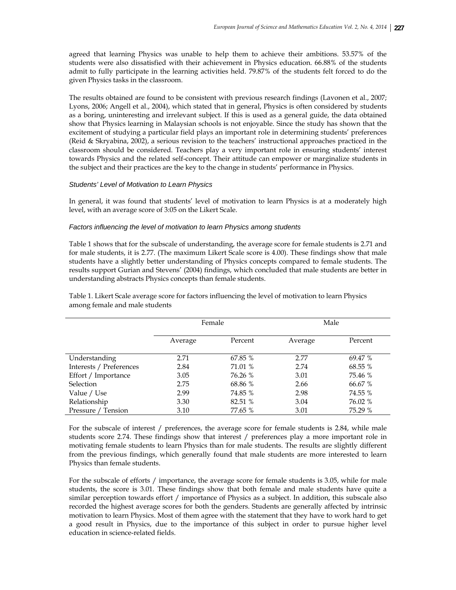agreed that learning Physics was unable to help them to achieve their ambitions. 53.57% of the students were also dissatisfied with their achievement in Physics education. 66.88% of the students admit to fully participate in the learning activities held. 79.87% of the students felt forced to do the given Physics tasks in the classroom.

The results obtained are found to be consistent with previous research findings (Lavonen et al., 2007; Lyons, 2006; Angell et al., 2004), which stated that in general, Physics is often considered by students as a boring, uninteresting and irrelevant subject. If this is used as a general guide, the data obtained show that Physics learning in Malaysian schools is not enjoyable. Since the study has shown that the excitement of studying a particular field plays an important role in determining students' preferences (Reid & Skryabina, 2002), a serious revision to the teachers' instructional approaches practiced in the classroom should be considered. Teachers play a very important role in ensuring students' interest towards Physics and the related self-concept. Their attitude can empower or marginalize students in the subject and their practices are the key to the change in students' performance in Physics.

# *Students' Level of Motivation to Learn Physics*

In general, it was found that students' level of motivation to learn Physics is at a moderately high level, with an average score of 3:05 on the Likert Scale.

### *Factors influencing the level of motivation to learn Physics among students*

Table 1 shows that for the subscale of understanding, the average score for female students is 2.71 and for male students, it is 2.77. (The maximum Likert Scale score is 4.00). These findings show that male students have a slightly better understanding of Physics concepts compared to female students. The results support Gurian and Stevens' (2004) findings, which concluded that male students are better in understanding abstracts Physics concepts than female students.

|                         | Female  |         |         | Male    |
|-------------------------|---------|---------|---------|---------|
|                         | Average | Percent | Average | Percent |
| Understanding           | 2.71    | 67.85 % | 2.77    | 69.47 % |
| Interests / Preferences | 2.84    | 71.01 % | 2.74    | 68.55 % |
| Effort / Importance     | 3.05    | 76.26 % | 3.01    | 75.46 % |
| <b>Selection</b>        | 2.75    | 68.86 % | 2.66    | 66.67 % |
| Value / Use             | 2.99    | 74.85 % | 2.98    | 74.55 % |
| Relationship            | 3.30    | 82.51 % | 3.04    | 76.02 % |
| Pressure / Tension      | 3.10    | 77.65 % | 3.01    | 75.29 % |

Table 1. Likert Scale average score for factors influencing the level of motivation to learn Physics among female and male students

For the subscale of interest / preferences, the average score for female students is 2.84, while male students score 2.74. These findings show that interest / preferences play a more important role in motivating female students to learn Physics than for male students. The results are slightly different from the previous findings, which generally found that male students are more interested to learn Physics than female students.

For the subscale of efforts / importance, the average score for female students is 3.05, while for male students, the score is 3.01. These findings show that both female and male students have quite a similar perception towards effort / importance of Physics as a subject. In addition, this subscale also recorded the highest average scores for both the genders. Students are generally affected by intrinsic motivation to learn Physics. Most of them agree with the statement that they have to work hard to get a good result in Physics, due to the importance of this subject in order to pursue higher level education in science-related fields.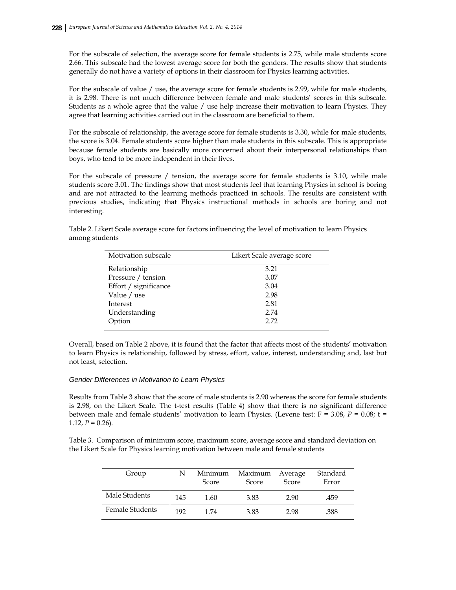For the subscale of selection, the average score for female students is 2.75, while male students score 2.66. This subscale had the lowest average score for both the genders. The results show that students generally do not have a variety of options in their classroom for Physics learning activities.

For the subscale of value / use, the average score for female students is 2.99, while for male students, it is 2.98. There is not much difference between female and male students' scores in this subscale. Students as a whole agree that the value / use help increase their motivation to learn Physics. They agree that learning activities carried out in the classroom are beneficial to them.

For the subscale of relationship, the average score for female students is 3.30, while for male students, the score is 3.04. Female students score higher than male students in this subscale. This is appropriate because female students are basically more concerned about their interpersonal relationships than boys, who tend to be more independent in their lives.

For the subscale of pressure / tension, the average score for female students is 3.10, while male students score 3.01. The findings show that most students feel that learning Physics in school is boring and are not attracted to the learning methods practiced in schools. The results are consistent with previous studies, indicating that Physics instructional methods in schools are boring and not interesting.

| Table 2. Likert Scale average score for factors influencing the level of motivation to learn Physics |  |
|------------------------------------------------------------------------------------------------------|--|
| among students                                                                                       |  |

| Motivation subscale   | Likert Scale average score |
|-----------------------|----------------------------|
| Relationship          | 3.21                       |
| Pressure / tension    | 3.07                       |
| Effort / significance | 3.04                       |
| Value / use           | 2.98                       |
| Interest              | 2.81                       |
| Understanding         | 2.74                       |
| Option                | 2.72                       |
|                       |                            |

Overall, based on Table 2 above, it is found that the factor that affects most of the students' motivation to learn Physics is relationship, followed by stress, effort, value, interest, understanding and, last but not least, selection.

### *Gender Differences in Motivation to Learn Physics*

Results from Table 3 show that the score of male students is 2.90 whereas the score for female students is 2.98, on the Likert Scale. The t-test results (Table 4) show that there is no significant difference between male and female students' motivation to learn Physics. (Levene test:  $F = 3.08$ ,  $P = 0.08$ ;  $t =$ 1.12,  $P = 0.26$ ).

Table 3. Comparison of minimum score, maximum score, average score and standard deviation on the Likert Scale for Physics learning motivation between male and female students

| Group           | N   | Minimum<br>Score | Maximum<br>Score | Average<br>Score | Standard<br>Error |
|-----------------|-----|------------------|------------------|------------------|-------------------|
| Male Students   | 145 | 1.60             | 3.83             | 2.90             | .459              |
| Female Students | 192 | 1.74             | 3.83             | 2.98             | .388              |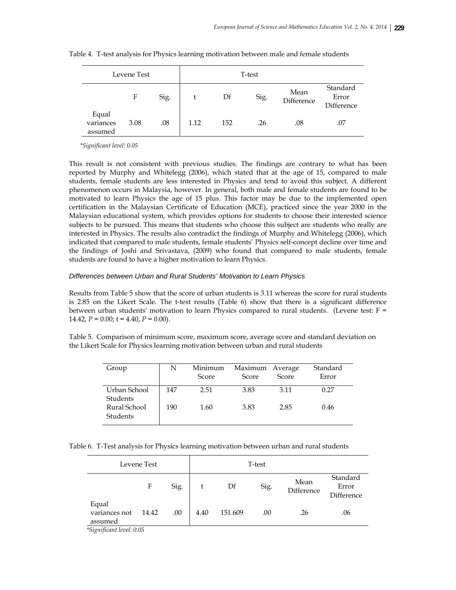|                               | Levene Test |      |      |     | T-test |                    |                                 |
|-------------------------------|-------------|------|------|-----|--------|--------------------|---------------------------------|
|                               | F           | Sig. |      | Df  | Sig.   | Mean<br>Difference | Standard<br>Error<br>Difference |
| Equal<br>variances<br>assumed | 3.08        | .08  | 1.12 | 152 | .26    | .08                | .07                             |

Table 4. T-test analysis for Physics learning motivation between male and female students

 *\*Significant level: 0.05* 

This result is not consistent with previous studies. The findings are contrary to what has been reported by Murphy and Whitelegg (2006), which stated that at the age of 15, compared to male students, female students are less interested in Physics and tend to avoid this subject. A different phenomenon occurs in Malaysia, however. In general, both male and female students are found to be motivated to learn Physics the age of 15 plus. This factor may be due to the implemented open certification in the Malaysian Certificate of Education (MCE), practiced since the year 2000 in the Malaysian educational system, which provides options for students to choose their interested science subjects to be pursued. This means that students who choose this subject are students who really are interested in Physics. The results also contradict the findings of Murphy and Whitelegg (2006), which indicated that compared to male students, female students' Physics self-concept decline over time and the findings of Joshi and Srivastava, (2009) who found that compared to male students, female students are found to have a higher motivation to learn Physics.

#### *Differences between Urban and Rural Students' Motivation to Learn Physics*

Results from Table 5 show that the score of urban students is 3.11 whereas the score for rural students is 2.85 on the Likert Scale. The t-test results (Table 6) show that there is a significant difference between urban students' motivation to learn Physics compared to rural students. (Levene test: F = 14.42,  $P = 0.00$ ;  $t = 4.40$ ,  $P = 0.00$ ).

Table 5. Comparison of minimum score, maximum score, average score and standard deviation on the Likert Scale for Physics learning motivation between urban and rural students

| Group                    | Ν   | Minimum<br>Score | Maximum Average<br>Score | Score | Standard<br>Error |
|--------------------------|-----|------------------|--------------------------|-------|-------------------|
| Urban School<br>Students | 147 | 2.51             | 3.83                     | 3.11  | 0.27              |
| Rural School<br>Students | 190 | 1.60             | 3.83                     | 2.85  | 0.46              |

Table 6. T-Test analysis for Physics learning motivation between urban and rural students

| Levene Test                       |       |      | T-test |         |      |                    |                                 |
|-----------------------------------|-------|------|--------|---------|------|--------------------|---------------------------------|
|                                   | F     | Sig. |        | Df      | Sig. | Mean<br>Difference | Standard<br>Error<br>Difference |
| Equal<br>variances not<br>assumed | 14.42 | .00  | 4.40   | 151.609 | .00  | .26                | .06                             |

 *\*Significant level: 0.05*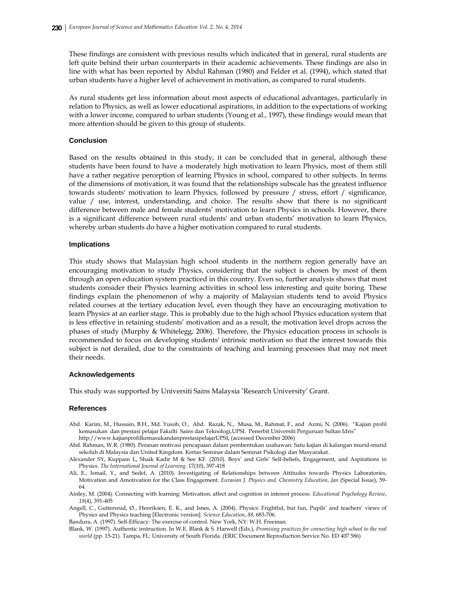These findings are consistent with previous results which indicated that in general, rural students are left quite behind their urban counterparts in their academic achievements. These findings are also in line with what has been reported by Abdul Rahman (1980) and Felder et al. (1994), which stated that urban students have a higher level of achievement in motivation, as compared to rural students.

As rural students get less information about most aspects of educational advantages, particularly in relation to Physics, as well as lower educational aspirations, in addition to the expectations of working with a lower income, compared to urban students (Young et al., 1997), these findings would mean that more attention should be given to this group of students.

#### **Conclusion**

Based on the results obtained in this study, it can be concluded that in general, although these students have been found to have a moderately high motivation to learn Physics, most of them still have a rather negative perception of learning Physics in school, compared to other subjects. In terms of the dimensions of motivation, it was found that the relationships subscale has the greatest influence towards students' motivation to learn Physics, followed by pressure / stress, effort / significance, value / use, interest, understanding, and choice. The results show that there is no significant difference between male and female students' motivation to learn Physics in schools. However, there is a significant difference between rural students' and urban students' motivation to learn Physics, whereby urban students do have a higher motivation compared to rural students.

#### **Implications**

This study shows that Malaysian high school students in the northern region generally have an encouraging motivation to study Physics, considering that the subject is chosen by most of them through an open education system practiced in this country. Even so, further analysis shows that most students consider their Physics learning activities in school less interesting and quite boring. These findings explain the phenomenon of why a majority of Malaysian students tend to avoid Physics related courses at the tertiary education level, even though they have an encouraging motivation to learn Physics at an earlier stage. This is probably due to the high school Physics education system that is less effective in retaining students' motivation and as a result, the motivation level drops across the phases of study (Murphy & Whitelegg, 2006). Therefore, the Physics education process in schools is recommended to focus on developing students' intrinsic motivation so that the interest towards this subject is not derailed, due to the constraints of teaching and learning processes that may not meet their needs.

#### **Acknowledgements**

This study was supported by Universiti Sains Malaysia 'Research University' Grant.

#### **References**

- Abd. Karim, M., Hussain, B.H., Md. Yusoh, O., Abd. Razak, N., Musa, M., Rahmat, F., and Azmi, N. (2006). "Kajian profil kemasukan dan prestasi pelajar Fakulti Sains dan Teknologi,UPSI. Penerbit Universiti Perguruan Sultan Idris" http://www.kajianprofilkemasukandanprestasipelajarUPSI, (accessed December 2006)
- Abd. Rahman, W.R. (1980). Peranan motivasi pencapaian dalam pembentukan usahawan: Satu kajian di kalangan murid-murid sekolah di Malaysia dan United Kingdom. Kertas Seminar dalam Seminar Psikologi dan Masyarakat.
- Alexander SY, Kuppam L, Shaik Kadir M & See KF. (2010). Boys' and Girls' Self-beliefs, Engagement, and Aspirations in Physics. *The International Journal of Learning*. 17(10), 397-418
- Ali, E., Ismail, Y., and Sedef, A. (2010). Investigating of Relationships between Attitudes towards Physics Laboratories, Motivation and Amotivation for the Class Engagement. *Eurasian J. Physics and. Chemistry Education*, *Jan* (Special Issue), 59- 64.
- Ainley, M. (2004). Connecting with learning: Motivation, affect and cognition in interest process. *Educational Psychology Review*, *18*(4), 391-405
- Angell, C., Guttersrud, Ø., Henriksen, E. K., and Isnes, A. (2004). Physics: Frightful, but fun, Pupils' and teachers' views of Physics and Physics teaching [Electronic version]. *Science Education*, *88*, 683-706.
- Bandura, A. (1997). Self-Efficacy: The exercise of control. New York, NY: W.H. Freeman.
- Blank, W. (1997). Authentic instruction. In W.E. Blank & S. Harwell (Eds.), *Promising practices for connecting high school to the real world* (pp. 15-21). Tampa, FL: University of South Florida. (ERIC Document Reproduction Service No. ED 407 586)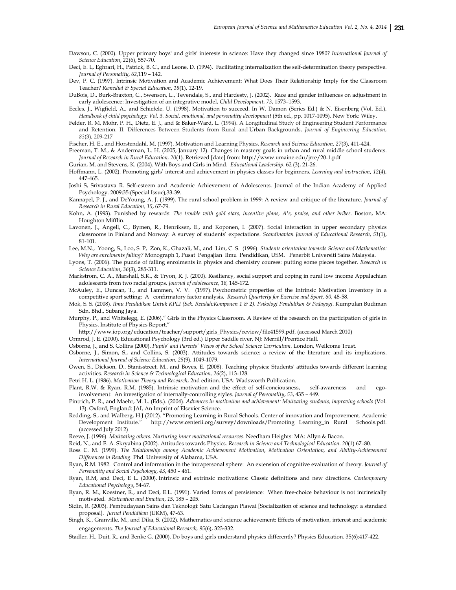- Dawson, C. (2000). Upper primary boys' and girls' interests in science: Have they changed since 1980? *International Journal of Science Education*, *22*(6), 557-70.
- Deci, E. L, Eghrari, H., Patrick, B. C., and Leone, D. (1994). Facilitating internalization the self-determination theory perspective. *Journal of Personality*, *62*,119 – 142.
- Dev, P. C. (1997). Intrinsic Motivation and Academic Achievement: What Does Their Relationship Imply for the Classroom Teacher? *Remedial & Special Education*, *18*(1), 12-19.
- DuBois, D., Burk-Braxton, C., Swenson, L., Tevendale, S., and Hardesty, J. (2002). Race and gender influences on adjustment in early adolescence: Investigation of an integrative model, *Child Development*, *73*, 1573–1593.
- Eccles, J., Wigfield, A., and Schiefele, U. (1998). Motivation to succeed. In W. Damon (Series Ed.) & N. Eisenberg (Vol. Ed.), *Handbook of child psychology: Vol. 3. Social, emotional, and personality development* (5th ed., pp. 1017-1095). New York: Wiley.
- Felder, R. M, Mohr, P. H., Dietz, E. J., and & Baker-Ward, L. (1994). A Longitudinal Study of Engineering Student Performance and Retention. II. Differences Between Students from Rural and Urban Backgrounds, *Journal of Engineering Education*, *83*(3), 209-217

Fischer, H. E., and Horstendahl, M. (1997). Motivation and Learning Physics. *Research and Science Education, 27*(3), 411-424.

- Freeman, T. M., & Anderman, L. H. (2005, January 12). Changes in mastery goals in urban and rural middle school students. *Journal of Research in Rural Education, 20*(1). Retrieved [date] from: http://www.umaine.edu/jrre/20-1.pdf
- Gurian, M. and Stevens, K. (2004). With Boys and Girls in Mind. *Educational Leadership*. 62 (3), 21-26.
- Hoffmann, L. (2002). Promoting girls' interest and achievement in physics classes for beginners. *Learning and instruction*, *12*(4), 447-465.
- Joshi S, Srivastava R. Self-esteem and Academic Achievement of Adolescents. Journal of the Indian Academy of Applied Psychology. 2009;35:(Special Issue),33-39.
- Kannapel, P. J., and DeYoung, A. J. (1999). The rural school problem in 1999: A review and critique of the literature. *Journal of Research in Rural Education, 15*, 67-79.
- Kohn, A. (1993). Punished by rewards: *The trouble with gold stars, incentive plans, A's, praise, and other bribes*. Boston, MA: Houghton Mifflin.
- Lavonen, J., Angell, C., Bymen, R., Henriksen, E., and Koponen, I. (2007). Social interaction in upper secondary physics classrooms in Finland and Norway: A survey of students' expectations. *Scandinavian Journal of Educational Research*, *51*(1), 81-101.
- Lee, M.N., Yoong, S., Loo, S. P, Zon, K., Ghazali, M., and Lim, C. S. (1996). *Students orientation towards Science and Mathematics: Why are enrolments falling?* Monograph 1, Pusat Pengajian Ilmu Pendidikan, USM. Penerbit Universiti Sains Malaysia.
- Lyons, T. (2006). The puzzle of falling enrolments in physics and chemistry courses: putting some pieces together. *Research in Science Education*, *36*(3), 285-311.
- Markstrom, C. A., Marshall, S.K., & Tryon, R. J. (2000). Resiliency, social support and coping in rural low income Appalachian adolescents from two racial groups. *Journal of adolescence, 18,* 145-172*.*
- McAuley, E., Duncan, T., and Tammen, V. V. (1997). Psychometric properties of the Intrinsic Motivation Inventory in a competitive sport setting: A confirmatory factor analysis. *Research Quarterly for Exercise and Sport, 60*, 48-58.
- Mok, S. S. (2008). *Ilmu Pendidikan Untuk KPLI (Sek. Rendah:Komponen 1 & 2). Psikologi Pendidikan & Pedagogi.* Kumpulan Budiman Sdn. Bhd., Subang Jaya.
- Murphy, P., and Whitelegg, E. (2006)." Girls in the Physics Classroom. A Review of the research on the participation of girls in Physics. Institute of Physics Report."
- http://www.iop.org/education/teacher/support/girls\_Physics/review/file41599.pdf, (accessed March 2010)
- Ormrod, J. E. (2000). Educational Psychology (3rd ed.) Upper Saddle river, NJ: Merrill/Prentice Hall.
- Osborne, J., and S. Collins (2000). *Pupils' and Parents' Views of the School Science Curriculum.* London, Wellcome Trust.
- Osborne, J., Simon, S., and Collins, S. (2003). Attitudes towards science: a review of the literature and its implications. *International Journal of Science Education*, *25*(9), 1049-1079.
- Owen, S., Dickson, D., Stanisstreet, M., and Boyes, E. (2008). Teaching physics: Students' attitudes towards different learning activities. *Research in Science & Technological Education, 26*(2), 113-128.
- Petri H. L. (1986). *Motivation Theory and Research*, 2nd edition. USA: Wadsworth Publication.
- Plant, R.W. & Ryan, R.M. (1985). Intrinsic motivation and the effect of self-conciousness, self-awareness and egoinvolvement: An investigation of internally-controlling styles. *Journal of Personality*, *53*, 435 – 449.
- Pintrich, P. R., and Maehr, M. L. (Eds.). (2004). *Advances in motivation and achievement: Motivating students, improving schools* (Vol. 13). Oxford, England: JAI, An Imprint of Elsevier Science.
- Redding, S., and Walberg, H.J (2012). "Promoting Learning in Rural Schools. Center of innovation and Improvement. Academic Development Institute." http://www.centerii.org/survey/downloads/Promoting Learning\_in Rural Schools.pdf. (accessed July 2012)

Reeve, J. (1996). *Motivating others. Nurturing inner motivational resources*. Needham Heights: MA: Allyn & Bacon.

- Reid, N., and E. A. Skryabina (2002). Attitudes towards Physics. *Research in Science and Technological Education. 20*(1) 67–80.
- Ross C. M. (1999). *The Relationship among Academic Achievement Motivation*, *Motivation Orientation, and Ability-Achievement Differences in Reading.* Phd. University of Alabama, USA.
- Ryan, R.M. 1982. Control and information in the intrapersonal sphere: An extension of cognitive evaluation of theory. *Journal of Personality and Social Psychology*, *43*, 450 – 461.
- Ryan, R.M, and Deci, E L. (2000). Intrinsic and extrinsic motivations: Classic definitions and new directions. *Contemporary Educational Psychology*, 54-67.
- Ryan, R. M., Koestner, R., and Deci, E.L. (1991). Varied forms of persistence: When free-choice behaviour is not intrinsically motivated. *Motivation and Emotion*, *15*, 185 – 205.
- Sidin, R. (2003). Pembudayaan Sains dan Teknologi: Satu Cadangan Piawai [Socialization of science and technology: a standard proposal]. *Jurnal Pendidikan* (UKM), 47-63.
- Singh, K., Granville, M., and Dika, S. (2002). Mathematics and science achievement: Effects of motivation, interest and academic engagements. *The Journal of Educational Research, 95*(6), 323‐332.
- Stadler, H., Duit, R., and Benke G. (2000). Do boys and girls understand physics differently? Physics Education. 35(6):417-422.